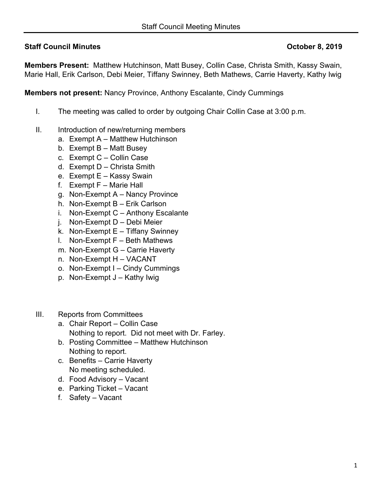## **Staff Council Minutes Council Minutes Council Minutes Council Minutes Council Minutes Council Minutes Council Minutes Council Minutes Council Minutes Council Minutes Council Minutes Council Minutes Council Minutes Council**

**Members Present:** Matthew Hutchinson, Matt Busey, Collin Case, Christa Smith, Kassy Swain, Marie Hall, Erik Carlson, Debi Meier, Tiffany Swinney, Beth Mathews, Carrie Haverty, Kathy Iwig

**Members not present:** Nancy Province, Anthony Escalante, Cindy Cummings

- I. The meeting was called to order by outgoing Chair Collin Case at 3:00 p.m.
- II. Introduction of new/returning members
	- a. Exempt A Matthew Hutchinson
	- b. Exempt B Matt Busey
	- c. Exempt C Collin Case
	- d. Exempt D Christa Smith
	- e. Exempt E Kassy Swain
	- f. Exempt F Marie Hall
	- g. Non-Exempt A Nancy Province
	- h. Non-Exempt B Erik Carlson
	- i. Non-Exempt C Anthony Escalante
	- j. Non-Exempt D Debi Meier
	- k. Non-Exempt  $E T$ iffany Swinney
	- l. Non-Exempt F Beth Mathews
	- m. Non-Exempt G Carrie Haverty
	- n. Non-Exempt H VACANT
	- o. Non-Exempt I Cindy Cummings
	- p. Non-Exempt J Kathy Iwig
- III. Reports from Committees
	- a. Chair Report Collin Case Nothing to report. Did not meet with Dr. Farley.
	- b. Posting Committee Matthew Hutchinson Nothing to report.
	- c. Benefits Carrie Haverty No meeting scheduled.
	- d. Food Advisory Vacant
	- e. Parking Ticket Vacant
	- f. Safety Vacant